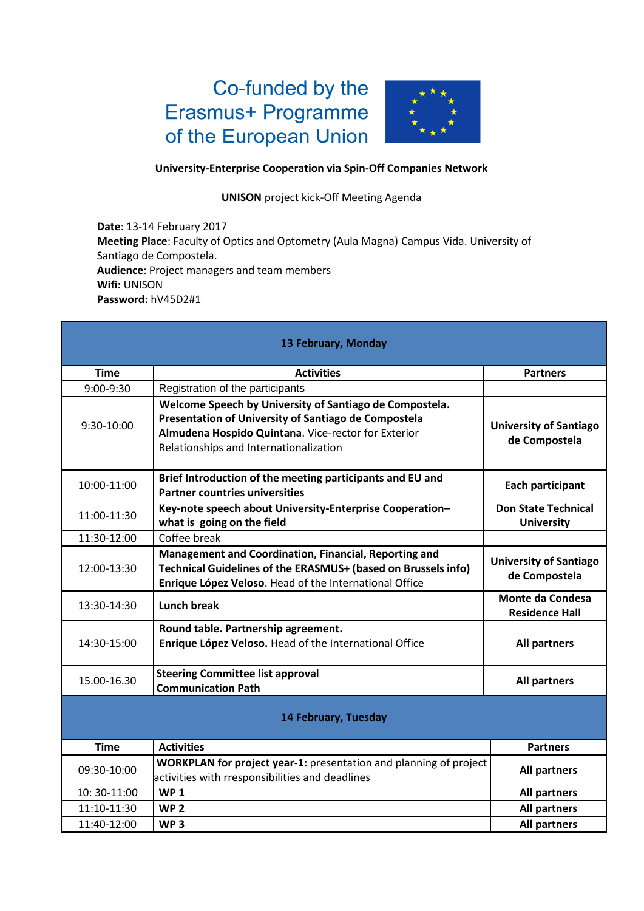## Co-funded by the Erasmus+ Programme of the European Union



## **University-Enterprise Cooperation via Spin-Off Companies Network**

## **UNISON** project kick-Off Meeting Agenda

**Date**: 13-14 February 2017 **Meeting Place**: Faculty of Optics and Optometry (Aula Magna) Campus Vida. University of Santiago de Compostela. **Audience**: Project managers and team members **Wifi:** UNISON **Password:** hV45D2#1

| 13 February, Monday |                                                                                                                                                                                                                  |                                                  |  |
|---------------------|------------------------------------------------------------------------------------------------------------------------------------------------------------------------------------------------------------------|--------------------------------------------------|--|
| <b>Time</b>         | <b>Activities</b>                                                                                                                                                                                                | <b>Partners</b>                                  |  |
| 9:00-9:30           | Registration of the participants                                                                                                                                                                                 |                                                  |  |
| 9:30-10:00          | Welcome Speech by University of Santiago de Compostela.<br>Presentation of University of Santiago de Compostela<br>Almudena Hospido Quintana. Vice-rector for Exterior<br>Relationships and Internationalization | <b>University of Santiago</b><br>de Compostela   |  |
| 10:00-11:00         | Brief Introduction of the meeting participants and EU and<br><b>Partner countries universities</b>                                                                                                               | Each participant                                 |  |
| 11:00-11:30         | Key-note speech about University-Enterprise Cooperation-<br>what is going on the field                                                                                                                           | <b>Don State Technical</b><br><b>University</b>  |  |
| 11:30-12:00         | Coffee break                                                                                                                                                                                                     |                                                  |  |
| 12:00-13:30         | Management and Coordination, Financial, Reporting and<br>Technical Guidelines of the ERASMUS+ (based on Brussels info)<br>Enrique López Veloso. Head of the International Office                                 | <b>University of Santiago</b><br>de Compostela   |  |
| 13:30-14:30         | <b>Lunch break</b>                                                                                                                                                                                               | <b>Monte da Condesa</b><br><b>Residence Hall</b> |  |
| 14:30-15:00         | Round table. Partnership agreement.<br>Enrique López Veloso. Head of the International Office                                                                                                                    | All partners                                     |  |
| 15.00-16.30         | <b>Steering Committee list approval</b><br><b>Communication Path</b>                                                                                                                                             | <b>All partners</b>                              |  |
|                     | 14 February, Tuesday                                                                                                                                                                                             |                                                  |  |
| <b>Time</b>         | <b>Activities</b>                                                                                                                                                                                                | <b>Partners</b>                                  |  |
| 09:30-10:00         | WORKPLAN for project year-1: presentation and planning of project<br>activities with rresponsibilities and deadlines                                                                                             | <b>All partners</b>                              |  |
| 10: 30-11:00        | <b>WP1</b>                                                                                                                                                                                                       | <b>All partners</b>                              |  |
| 11:10-11:30         | WP <sub>2</sub>                                                                                                                                                                                                  | <b>All partners</b>                              |  |
| 11:40-12:00         | WP <sub>3</sub>                                                                                                                                                                                                  | <b>All partners</b>                              |  |